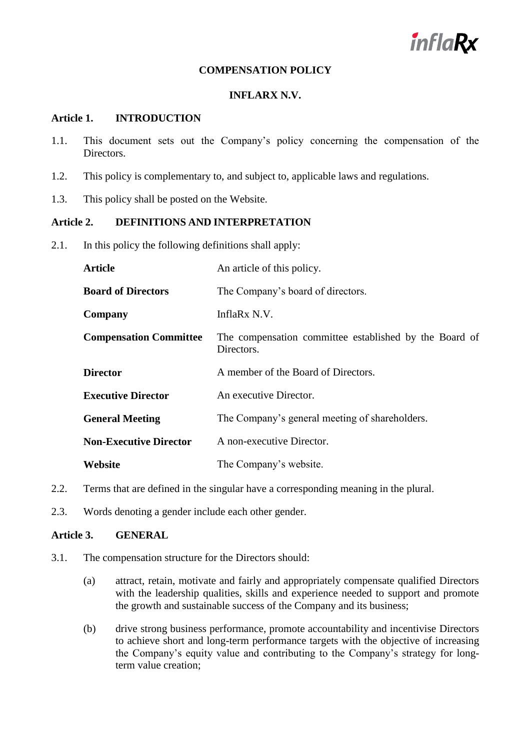

# **COMPENSATION POLICY**

## **INFLARX N.V.**

#### **Article 1. INTRODUCTION**

- 1.1. This document sets out the Company's policy concerning the compensation of the Directors.
- 1.2. This policy is complementary to, and subject to, applicable laws and regulations.
- 1.3. This policy shall be posted on the Website.

# **Article 2. DEFINITIONS AND INTERPRETATION**

2.1. In this policy the following definitions shall apply:

| <b>Article</b>                | An article of this policy.                                           |
|-------------------------------|----------------------------------------------------------------------|
| <b>Board of Directors</b>     | The Company's board of directors.                                    |
| Company                       | InflaRx N.V.                                                         |
| <b>Compensation Committee</b> | The compensation committee established by the Board of<br>Directors. |
| <b>Director</b>               | A member of the Board of Directors.                                  |
| <b>Executive Director</b>     | An executive Director.                                               |
| <b>General Meeting</b>        | The Company's general meeting of shareholders.                       |
| <b>Non-Executive Director</b> | A non-executive Director.                                            |
| Website                       | The Company's website.                                               |

- 2.2. Terms that are defined in the singular have a corresponding meaning in the plural.
- 2.3. Words denoting a gender include each other gender.

# **Article 3. GENERAL**

- 3.1. The compensation structure for the Directors should:
	- (a) attract, retain, motivate and fairly and appropriately compensate qualified Directors with the leadership qualities, skills and experience needed to support and promote the growth and sustainable success of the Company and its business;
	- (b) drive strong business performance, promote accountability and incentivise Directors to achieve short and long-term performance targets with the objective of increasing the Company's equity value and contributing to the Company's strategy for longterm value creation;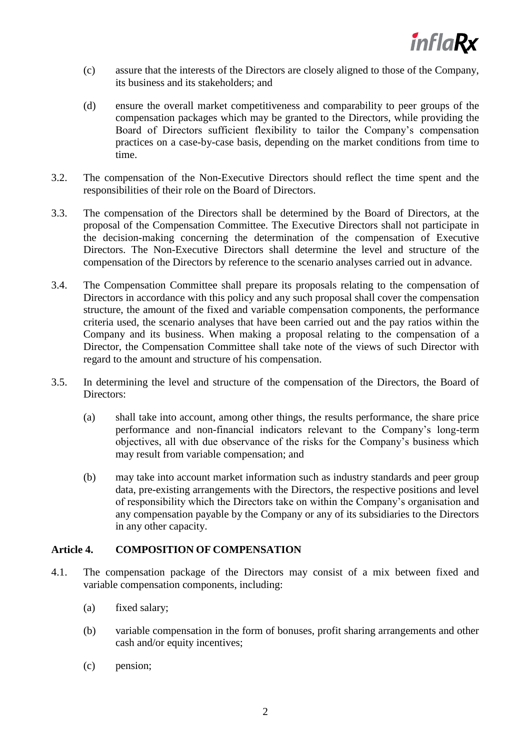

- (c) assure that the interests of the Directors are closely aligned to those of the Company, its business and its stakeholders; and
- (d) ensure the overall market competitiveness and comparability to peer groups of the compensation packages which may be granted to the Directors, while providing the Board of Directors sufficient flexibility to tailor the Company's compensation practices on a case-by-case basis, depending on the market conditions from time to time.
- 3.2. The compensation of the Non-Executive Directors should reflect the time spent and the responsibilities of their role on the Board of Directors.
- 3.3. The compensation of the Directors shall be determined by the Board of Directors, at the proposal of the Compensation Committee. The Executive Directors shall not participate in the decision-making concerning the determination of the compensation of Executive Directors. The Non-Executive Directors shall determine the level and structure of the compensation of the Directors by reference to the scenario analyses carried out in advance.
- 3.4. The Compensation Committee shall prepare its proposals relating to the compensation of Directors in accordance with this policy and any such proposal shall cover the compensation structure, the amount of the fixed and variable compensation components, the performance criteria used, the scenario analyses that have been carried out and the pay ratios within the Company and its business. When making a proposal relating to the compensation of a Director, the Compensation Committee shall take note of the views of such Director with regard to the amount and structure of his compensation.
- 3.5. In determining the level and structure of the compensation of the Directors, the Board of Directors:
	- (a) shall take into account, among other things, the results performance, the share price performance and non-financial indicators relevant to the Company's long-term objectives, all with due observance of the risks for the Company's business which may result from variable compensation; and
	- (b) may take into account market information such as industry standards and peer group data, pre-existing arrangements with the Directors, the respective positions and level of responsibility which the Directors take on within the Company's organisation and any compensation payable by the Company or any of its subsidiaries to the Directors in any other capacity.

# **Article 4. COMPOSITION OF COMPENSATION**

- 4.1. The compensation package of the Directors may consist of a mix between fixed and variable compensation components, including:
	- (a) fixed salary;
	- (b) variable compensation in the form of bonuses, profit sharing arrangements and other cash and/or equity incentives;
	- (c) pension;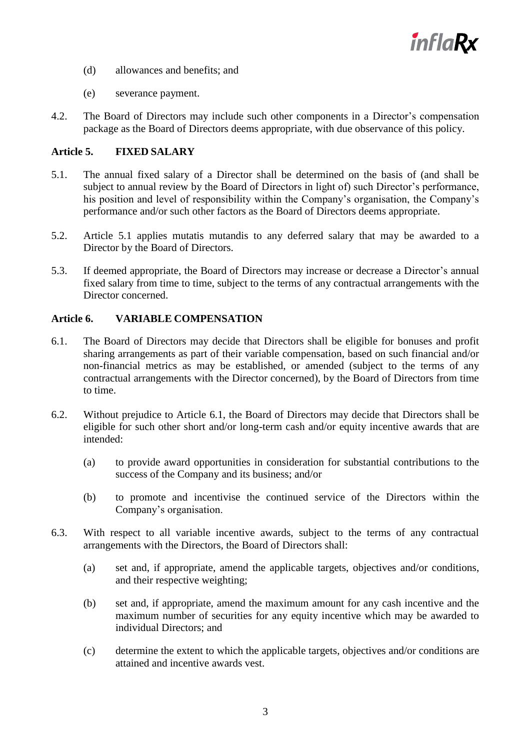

- (d) allowances and benefits; and
- (e) severance payment.
- 4.2. The Board of Directors may include such other components in a Director's compensation package as the Board of Directors deems appropriate, with due observance of this policy.

# **Article 5. FIXED SALARY**

- <span id="page-2-0"></span>5.1. The annual fixed salary of a Director shall be determined on the basis of (and shall be subject to annual review by the Board of Directors in light of) such Director's performance, his position and level of responsibility within the Company's organisation, the Company's performance and/or such other factors as the Board of Directors deems appropriate.
- 5.2. Article [5.1](#page-2-0) applies mutatis mutandis to any deferred salary that may be awarded to a Director by the Board of Directors.
- 5.3. If deemed appropriate, the Board of Directors may increase or decrease a Director's annual fixed salary from time to time, subject to the terms of any contractual arrangements with the Director concerned.

## **Article 6. VARIABLE COMPENSATION**

- <span id="page-2-1"></span>6.1. The Board of Directors may decide that Directors shall be eligible for bonuses and profit sharing arrangements as part of their variable compensation, based on such financial and/or non-financial metrics as may be established, or amended (subject to the terms of any contractual arrangements with the Director concerned), by the Board of Directors from time to time.
- 6.2. Without prejudice to Article [6.1,](#page-2-1) the Board of Directors may decide that Directors shall be eligible for such other short and/or long-term cash and/or equity incentive awards that are intended:
	- (a) to provide award opportunities in consideration for substantial contributions to the success of the Company and its business; and/or
	- (b) to promote and incentivise the continued service of the Directors within the Company's organisation.
- 6.3. With respect to all variable incentive awards, subject to the terms of any contractual arrangements with the Directors, the Board of Directors shall:
	- (a) set and, if appropriate, amend the applicable targets, objectives and/or conditions, and their respective weighting;
	- (b) set and, if appropriate, amend the maximum amount for any cash incentive and the maximum number of securities for any equity incentive which may be awarded to individual Directors; and
	- (c) determine the extent to which the applicable targets, objectives and/or conditions are attained and incentive awards vest.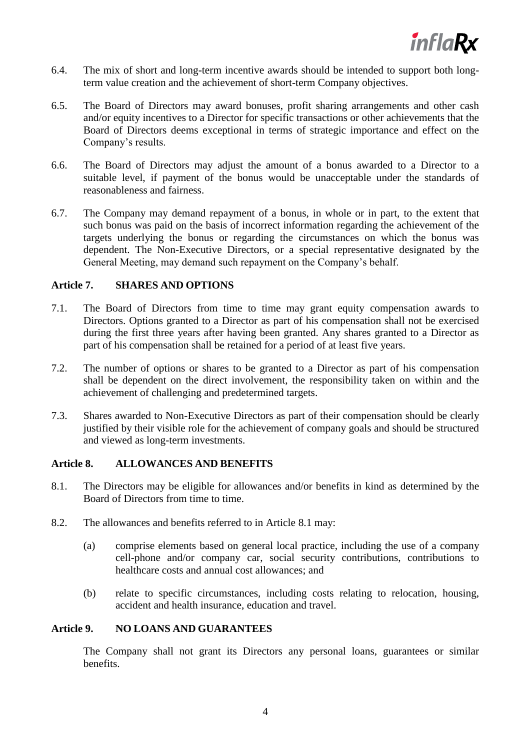

- 6.4. The mix of short and long-term incentive awards should be intended to support both longterm value creation and the achievement of short-term Company objectives.
- 6.5. The Board of Directors may award bonuses, profit sharing arrangements and other cash and/or equity incentives to a Director for specific transactions or other achievements that the Board of Directors deems exceptional in terms of strategic importance and effect on the Company's results.
- 6.6. The Board of Directors may adjust the amount of a bonus awarded to a Director to a suitable level, if payment of the bonus would be unacceptable under the standards of reasonableness and fairness.
- 6.7. The Company may demand repayment of a bonus, in whole or in part, to the extent that such bonus was paid on the basis of incorrect information regarding the achievement of the targets underlying the bonus or regarding the circumstances on which the bonus was dependent. The Non-Executive Directors, or a special representative designated by the General Meeting, may demand such repayment on the Company's behalf.

#### **Article 7. SHARES AND OPTIONS**

- 7.1. The Board of Directors from time to time may grant equity compensation awards to Directors. Options granted to a Director as part of his compensation shall not be exercised during the first three years after having been granted. Any shares granted to a Director as part of his compensation shall be retained for a period of at least five years.
- 7.2. The number of options or shares to be granted to a Director as part of his compensation shall be dependent on the direct involvement, the responsibility taken on within and the achievement of challenging and predetermined targets.
- 7.3. Shares awarded to Non-Executive Directors as part of their compensation should be clearly justified by their visible role for the achievement of company goals and should be structured and viewed as long-term investments.

# **Article 8. ALLOWANCES AND BENEFITS**

- <span id="page-3-0"></span>8.1. The Directors may be eligible for allowances and/or benefits in kind as determined by the Board of Directors from time to time.
- 8.2. The allowances and benefits referred to in Article [8.1](#page-3-0) may:
	- (a) comprise elements based on general local practice, including the use of a company cell-phone and/or company car, social security contributions, contributions to healthcare costs and annual cost allowances; and
	- (b) relate to specific circumstances, including costs relating to relocation, housing, accident and health insurance, education and travel.

# **Article 9. NO LOANS AND GUARANTEES**

The Company shall not grant its Directors any personal loans, guarantees or similar benefits.